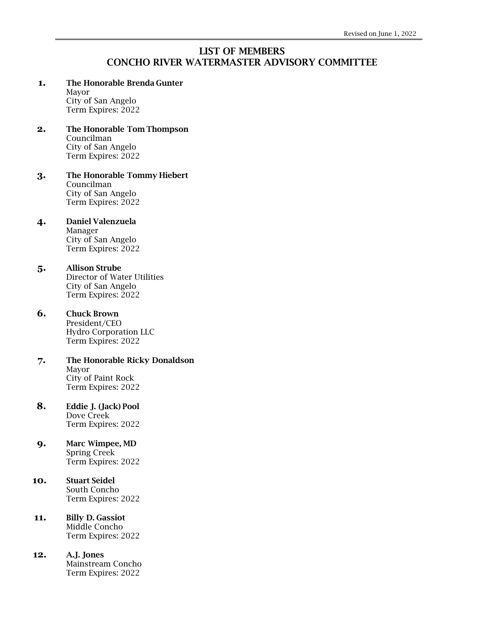## LIST OF MEMBERS CONCHO RIVER WATERMASTER ADVISORY COMMITTEE

### **1.** The Honorable Brenda Gunter

Mayor City of San Angelo Term Expires: 2022

#### **2.** The Honorable Tom Thompson Councilman City of San Angelo Term Expires: 2022

**3.** The Honorable Tommy Hiebert Councilman City of San Angelo Term Expires: 2022

# **4.** Daniel Valenzuela

Manager City of San Angelo Term Expires: 2022

## **5.** Allison Strube

Director of Water Utilities City of San Angelo Term Expires: 2022

## **6.** Chuck Brown

President/CEO Hydro Corporation LLC Term Expires: 2022

- **7.** The Honorable Ricky Donaldson Mayor City of Paint Rock Term Expires: 2022
- **8.** Eddie J. (Jack) Pool Dove Creek Term Expires: 2022

#### **9.** Marc Wimpee, MD Spring Creek Term Expires: 2022

#### **10.** Stuart Seidel South Concho Term Expires: 2022

#### **11.** Billy D. Gassiot Middle Concho Term Expires: 2022

**12.** A.J. Jones Mainstream Concho Term Expires: 2022